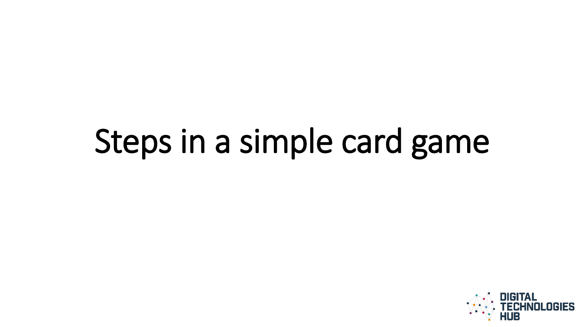### Steps in a simple card game

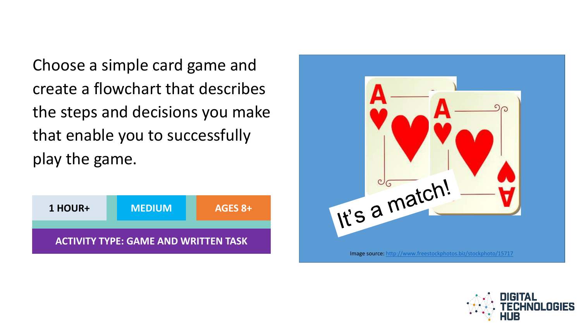Choose a simple card game and create a flowchart that describes the steps and decisions you make that enable you to successfully play the game.





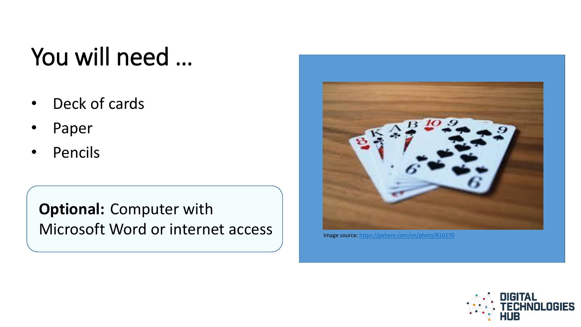#### You will need …

- Deck of cards
- Paper
- Pencils

**Optional:** Computer with Microsoft Word or internet access



Image source: <https://pxhere.com/en/photo/810270>

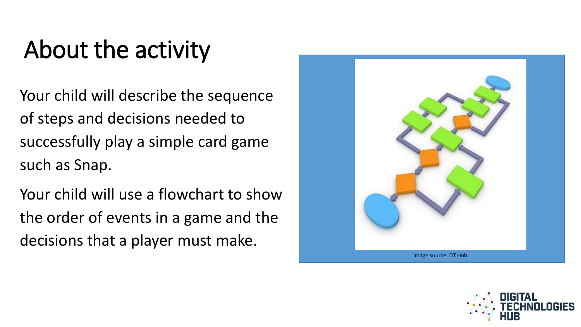### About the activity

Your child will describe the sequence of steps and decisions needed to successfully play a simple card game such as Snap.

Your child will use a flowchart to show the order of events in a game and the decisions that a player must make.



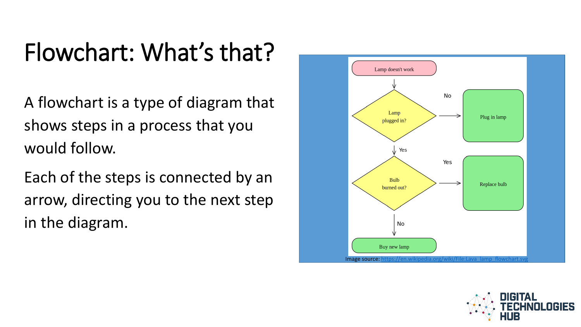#### Flowchart: What's that?

A flowchart is a type of diagram that shows steps in a process that you would follow.

Each of the steps is connected by an arrow, directing you to the next step in the diagram.



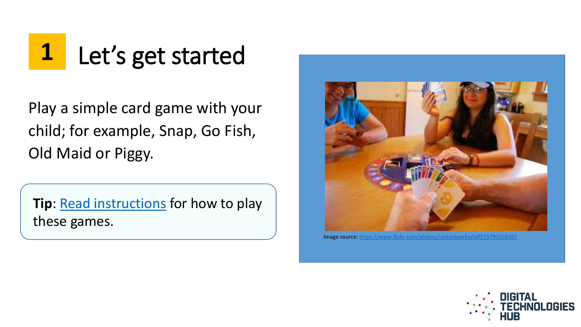## **1** Let's get started

Play a simple card game with your child; for example, Snap, Go Fish, Old Maid or Piggy.

**Tip**: [Read instructions](http://www.kidspot.com.au/things-to-do/kids-games/indoor-play/snap-12-classic-card-games-to-teach-the-kids/news-story/1d153893aee53908749c1377c588928c) for how to play these games.



Image source: <https://www.flickr.com/photos/vastateparksstaff/15791658397>

![](_page_5_Picture_5.jpeg)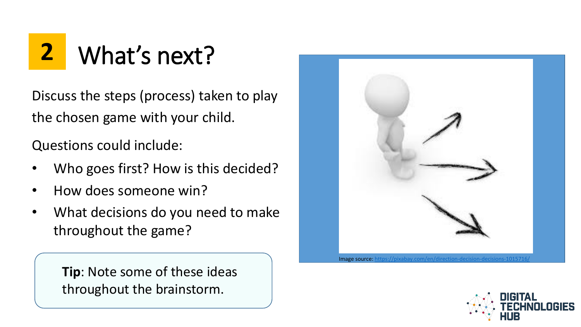## **2** What's next?

Discuss the steps (process) taken to play the chosen game with your child.

Questions could include:

- Who goes first? How is this decided?
- How does someone win?
- What decisions do you need to make throughout the game?

**Tip**: Note some of these ideas throughout the brainstorm.

![](_page_6_Picture_7.jpeg)

![](_page_6_Picture_8.jpeg)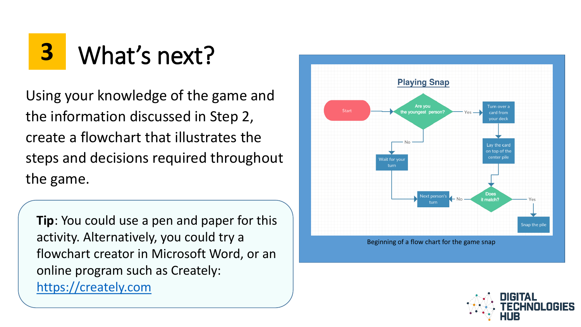### **3** What's next?

Using your knowledge of the game and the information discussed in Step 2, create a flowchart that illustrates the steps and decisions required throughout the game.

**Tip**: You could use a pen and paper for this activity. Alternatively, you could try a flowchart creator in Microsoft Word, or an online program such as Creately: [https://creately.com](https://creately.com/)

![](_page_7_Figure_3.jpeg)

Beginning of a flow chart for the game snap

![](_page_7_Picture_5.jpeg)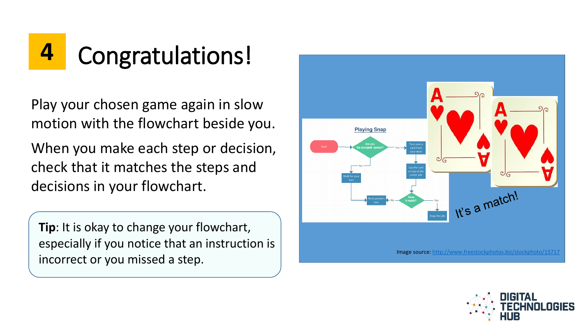# **4** Congratulations!

Play your chosen game again in slow motion with the flowchart beside you.

When you make each step or decision, check that it matches the steps and decisions in your flowchart.

**Tip**: It is okay to change your flowchart, especially if you notice that an instruction is incorrect or you missed a step.

![](_page_8_Figure_4.jpeg)

![](_page_8_Picture_5.jpeg)